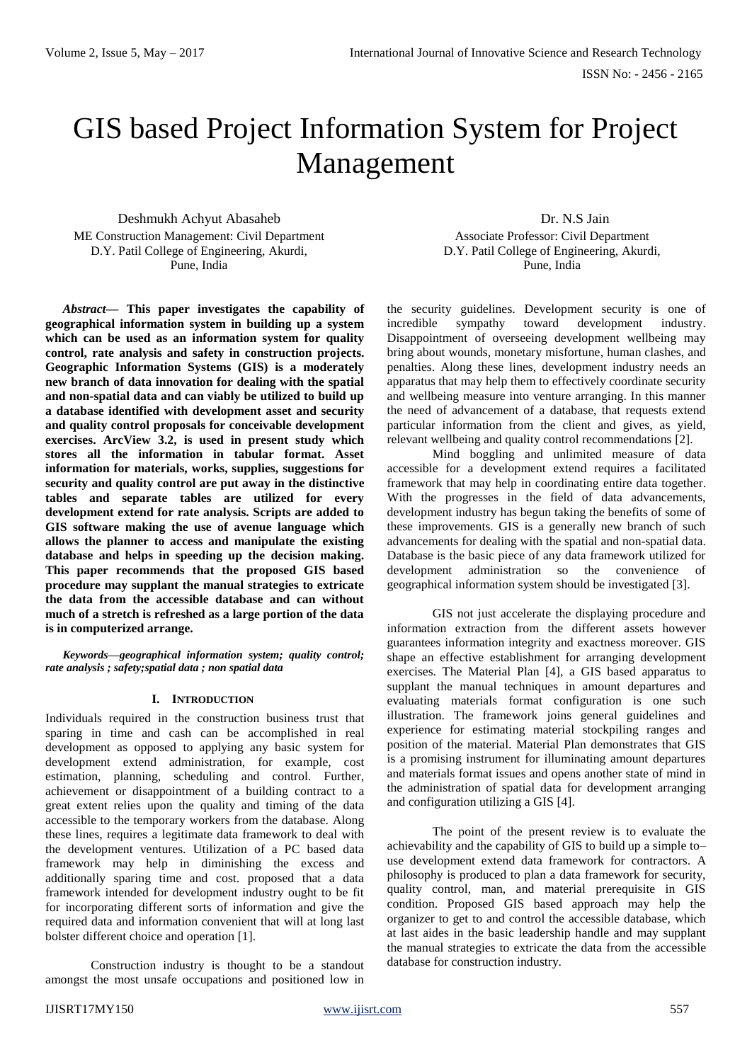# GIS based Project Information System for Project Management

Deshmukh Achyut Abasaheb ME Construction Management: Civil Department D.Y. Patil College of Engineering, Akurdi, Pune, India

*Abstract***— This paper investigates the capability of geographical information system in building up a system which can be used as an information system for quality control, rate analysis and safety in construction projects. Geographic Information Systems (GIS) is a moderately new branch of data innovation for dealing with the spatial and non-spatial data and can viably be utilized to build up a database identified with development asset and security and quality control proposals for conceivable development exercises. ArcView 3.2, is used in present study which stores all the information in tabular format. Asset information for materials, works, supplies, suggestions for security and quality control are put away in the distinctive tables and separate tables are utilized for every development extend for rate analysis. Scripts are added to GIS software making the use of avenue language which allows the planner to access and manipulate the existing database and helps in speeding up the decision making. This paper recommends that the proposed GIS based procedure may supplant the manual strategies to extricate the data from the accessible database and can without much of a stretch is refreshed as a large portion of the data is in computerized arrange.**

*Keywords—geographical information system; quality control; rate analysis ; safety;spatial data ; non spatial data* 

## **I. INTRODUCTION**

Individuals required in the construction business trust that sparing in time and cash can be accomplished in real development as opposed to applying any basic system for development extend administration, for example, cost estimation, planning, scheduling and control. Further, achievement or disappointment of a building contract to a great extent relies upon the quality and timing of the data accessible to the temporary workers from the database. Along these lines, requires a legitimate data framework to deal with the development ventures. Utilization of a PC based data framework may help in diminishing the excess and additionally sparing time and cost. proposed that a data framework intended for development industry ought to be fit for incorporating different sorts of information and give the required data and information convenient that will at long last bolster different choice and operation [1].

Construction industry is thought to be a standout amongst the most unsafe occupations and positioned low in

Dr. N.S Jain Associate Professor: Civil Department D.Y. Patil College of Engineering, Akurdi, Pune, India

the security guidelines. Development security is one of incredible sympathy toward development industry. Disappointment of overseeing development wellbeing may bring about wounds, monetary misfortune, human clashes, and penalties. Along these lines, development industry needs an apparatus that may help them to effectively coordinate security and wellbeing measure into venture arranging. In this manner the need of advancement of a database, that requests extend particular information from the client and gives, as yield, relevant wellbeing and quality control recommendations [2].

Mind boggling and unlimited measure of data accessible for a development extend requires a facilitated framework that may help in coordinating entire data together. With the progresses in the field of data advancements, development industry has begun taking the benefits of some of these improvements. GIS is a generally new branch of such advancements for dealing with the spatial and non-spatial data. Database is the basic piece of any data framework utilized for development administration so the convenience of geographical information system should be investigated [3].

GIS not just accelerate the displaying procedure and information extraction from the different assets however guarantees information integrity and exactness moreover. GIS shape an effective establishment for arranging development exercises. The Material Plan [4], a GIS based apparatus to supplant the manual techniques in amount departures and evaluating materials format configuration is one such illustration. The framework joins general guidelines and experience for estimating material stockpiling ranges and position of the material. Material Plan demonstrates that GIS is a promising instrument for illuminating amount departures and materials format issues and opens another state of mind in the administration of spatial data for development arranging and configuration utilizing a GIS [4].

The point of the present review is to evaluate the achievability and the capability of GIS to build up a simple to– use development extend data framework for contractors. A philosophy is produced to plan a data framework for security, quality control, man, and material prerequisite in GIS condition. Proposed GIS based approach may help the organizer to get to and control the accessible database, which at last aides in the basic leadership handle and may supplant the manual strategies to extricate the data from the accessible database for construction industry.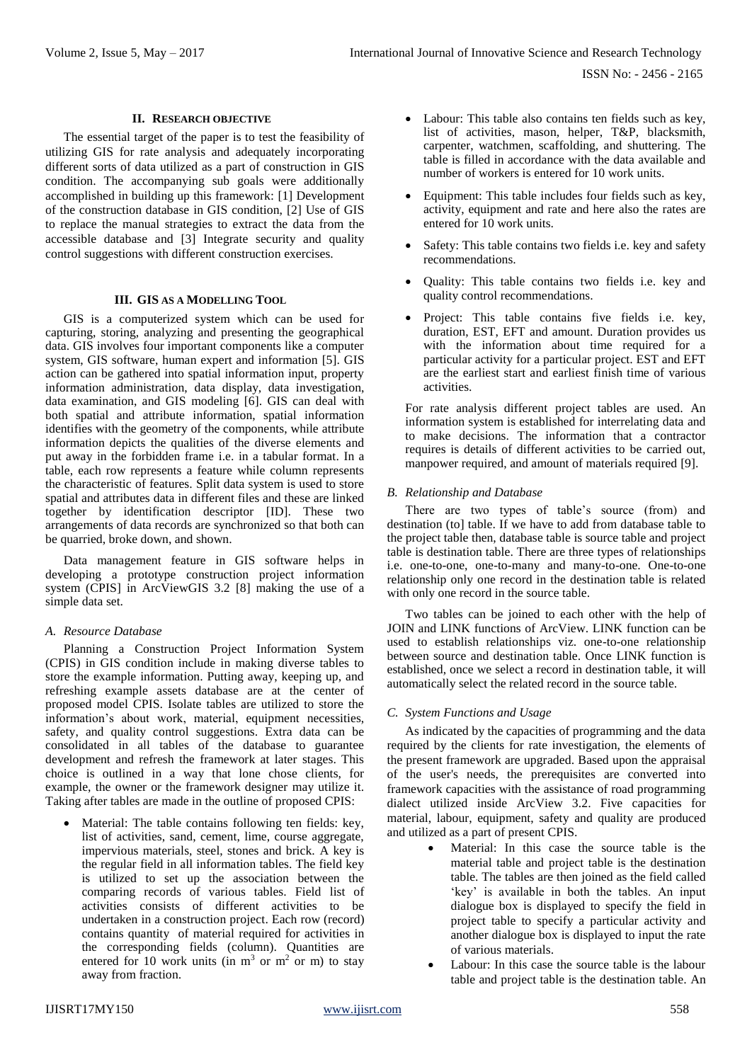ISSN No: - 2456 - 2165

## **II. RESEARCH OBJECTIVE**

The essential target of the paper is to test the feasibility of utilizing GIS for rate analysis and adequately incorporating different sorts of data utilized as a part of construction in GIS condition. The accompanying sub goals were additionally accomplished in building up this framework: [1] Development of the construction database in GIS condition, [2] Use of GIS to replace the manual strategies to extract the data from the accessible database and [3] Integrate security and quality control suggestions with different construction exercises.

## **III. GIS AS A MODELLING TOOL**

GIS is a computerized system which can be used for capturing, storing, analyzing and presenting the geographical data. GIS involves four important components like a computer system, GIS software, human expert and information [5]. GIS action can be gathered into spatial information input, property information administration, data display, data investigation, data examination, and GIS modeling [6]. GIS can deal with both spatial and attribute information, spatial information identifies with the geometry of the components, while attribute information depicts the qualities of the diverse elements and put away in the forbidden frame i.e. in a tabular format. In a table, each row represents a feature while column represents the characteristic of features. Split data system is used to store spatial and attributes data in different files and these are linked together by identification descriptor [ID]. These two arrangements of data records are synchronized so that both can be quarried, broke down, and shown.

Data management feature in GIS software helps in developing a prototype construction project information system (CPIS] in ArcViewGIS 3.2 [8] making the use of a simple data set.

## *A. Resource Database*

Planning a Construction Project Information System (CPIS) in GIS condition include in making diverse tables to store the example information. Putting away, keeping up, and refreshing example assets database are at the center of proposed model CPIS. Isolate tables are utilized to store the information's about work, material, equipment necessities, safety, and quality control suggestions. Extra data can be consolidated in all tables of the database to guarantee development and refresh the framework at later stages. This choice is outlined in a way that lone chose clients, for example, the owner or the framework designer may utilize it. Taking after tables are made in the outline of proposed CPIS:

• Material: The table contains following ten fields: key, list of activities, sand, cement, lime, course aggregate, impervious materials, steel, stones and brick. A key is the regular field in all information tables. The field key is utilized to set up the association between the comparing records of various tables. Field list of activities consists of different activities to be undertaken in a construction project. Each row (record) contains quantity of material required for activities in the corresponding fields (column). Quantities are entered for 10 work units (in  $m<sup>3</sup>$  or  $m<sup>2</sup>$  or m) to stay away from fraction.

- Labour: This table also contains ten fields such as key, list of activities, mason, helper, T&P, blacksmith, carpenter, watchmen, scaffolding, and shuttering. The table is filled in accordance with the data available and number of workers is entered for 10 work units.
- Equipment: This table includes four fields such as key, activity, equipment and rate and here also the rates are entered for 10 work units.
- Safety: This table contains two fields i.e. key and safety recommendations.
- Quality: This table contains two fields i.e. key and quality control recommendations.
- Project: This table contains five fields i.e. key, duration, EST, EFT and amount. Duration provides us with the information about time required for a particular activity for a particular project. EST and EFT are the earliest start and earliest finish time of various activities.

For rate analysis different project tables are used. An information system is established for interrelating data and to make decisions. The information that a contractor requires is details of different activities to be carried out, manpower required, and amount of materials required [9].

## *B. Relationship and Database*

There are two types of table's source (from) and destination (to] table. If we have to add from database table to the project table then, database table is source table and project table is destination table. There are three types of relationships i.e. one-to-one, one-to-many and many-to-one. One-to-one relationship only one record in the destination table is related with only one record in the source table.

Two tables can be joined to each other with the help of JOIN and LINK functions of ArcView. LINK function can be used to establish relationships viz. one-to-one relationship between source and destination table. Once LINK function is established, once we select a record in destination table, it will automatically select the related record in the source table.

## *C. System Functions and Usage*

As indicated by the capacities of programming and the data required by the clients for rate investigation, the elements of the present framework are upgraded. Based upon the appraisal of the user's needs, the prerequisites are converted into framework capacities with the assistance of road programming dialect utilized inside ArcView 3.2. Five capacities for material, labour, equipment, safety and quality are produced and utilized as a part of present CPIS.

- Material: In this case the source table is the material table and project table is the destination table. The tables are then joined as the field called 'key' is available in both the tables. An input dialogue box is displayed to specify the field in project table to specify a particular activity and another dialogue box is displayed to input the rate of various materials.
- Labour: In this case the source table is the labour table and project table is the destination table. An